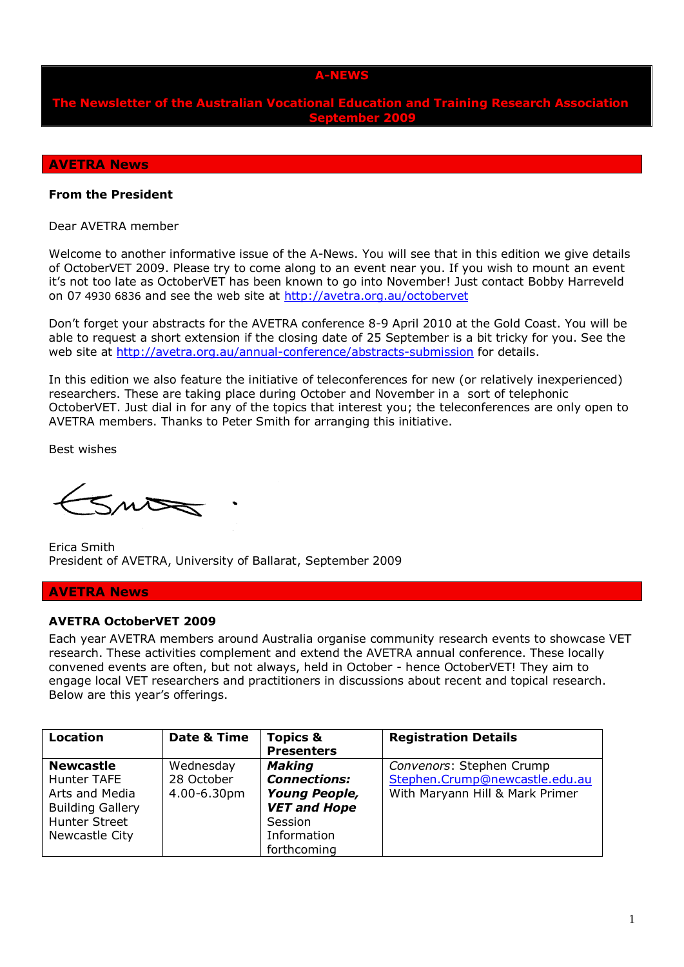### **A-NEWS**

**The Newsletter of the Australian Vocational Education and Training Research Association September 2009**

#### **AVETRA News**

#### **From the President**

Dear AVETRA member

Welcome to another informative issue of the A-News. You will see that in this edition we give details of OctoberVET 2009. Please try to come along to an event near you. If you wish to mount an event it's not too late as OctoberVET has been known to go into November! Just contact Bobby Harreveld on 07 4930 6836 and see the web site at<http://avetra.org.au/octobervet>

Don't forget your abstracts for the AVETRA conference 8-9 April 2010 at the Gold Coast. You will be able to request a short extension if the closing date of 25 September is a bit tricky for you. See the web site at<http://avetra.org.au/annual-conference/abstracts-submission> for details.

In this edition we also feature the initiative of teleconferences for new (or relatively inexperienced) researchers. These are taking place during October and November in a sort of telephonic OctoberVET. Just dial in for any of the topics that interest you; the teleconferences are only open to AVETRA members. Thanks to Peter Smith for arranging this initiative.

Best wishes

 $5n\infty$ 

Erica Smith President of AVETRA, University of Ballarat, September 2009

### **AVETRA News**

#### **AVETRA OctoberVET 2009**

Each year AVETRA members around Australia organise community research events to showcase VET research. These activities complement and extend the AVETRA annual conference. These locally convened events are often, but not always, held in October - hence OctoberVET! They aim to engage local VET researchers and practitioners in discussions about recent and topical research. Below are this year's offerings.

| <b>Location</b>         | Date & Time | <b>Topics &amp;</b>  | <b>Registration Details</b>     |
|-------------------------|-------------|----------------------|---------------------------------|
|                         |             | <b>Presenters</b>    |                                 |
| <b>Newcastle</b>        | Wednesday   | <b>Making</b>        | Convenors: Stephen Crump        |
| <b>Hunter TAFE</b>      | 28 October  | <b>Connections:</b>  | Stephen.Crump@newcastle.edu.au  |
| Arts and Media          | 4.00-6.30pm | <b>Young People,</b> | With Maryann Hill & Mark Primer |
| <b>Building Gallery</b> |             | <b>VET and Hope</b>  |                                 |
| <b>Hunter Street</b>    |             | Session              |                                 |
| Newcastle City          |             | Information          |                                 |
|                         |             | forthcoming          |                                 |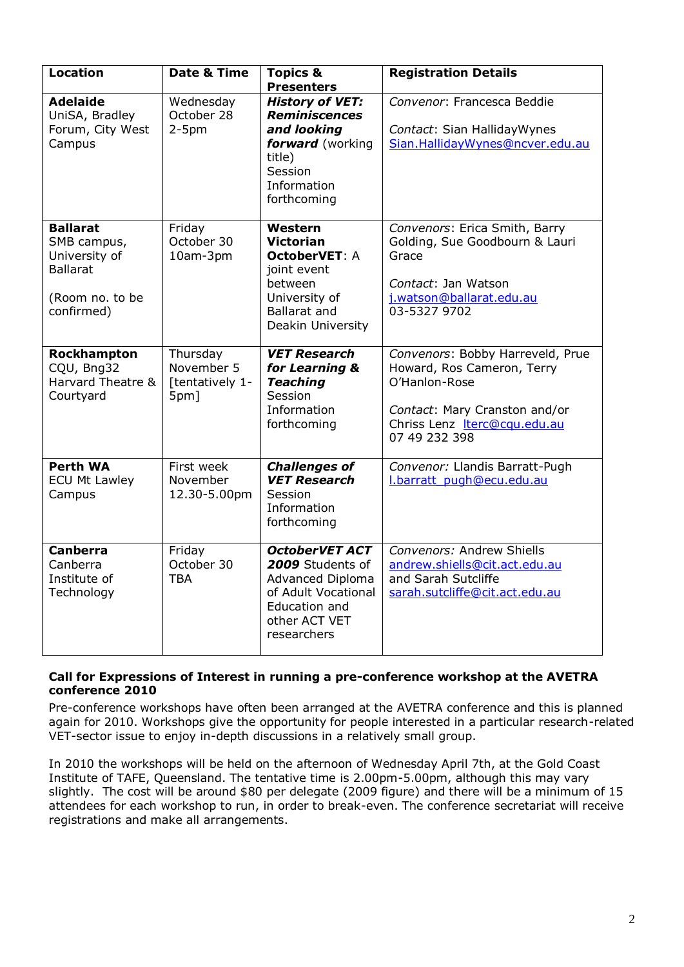| <b>Location</b>                                                                                     | Date & Time                                       | <b>Topics &amp;</b><br><b>Presenters</b>                                                                                              | <b>Registration Details</b>                                                                                                                                       |
|-----------------------------------------------------------------------------------------------------|---------------------------------------------------|---------------------------------------------------------------------------------------------------------------------------------------|-------------------------------------------------------------------------------------------------------------------------------------------------------------------|
| <b>Adelaide</b><br>UniSA, Bradley<br>Forum, City West<br>Campus                                     | Wednesday<br>October 28<br>$2-5pm$                | <b>History of VET:</b><br><b>Reminiscences</b><br>and looking<br>forward (working<br>title)<br>Session<br>Information<br>forthcoming  | Convenor: Francesca Beddie<br>Contact: Sian HallidayWynes<br>Sian.HallidayWynes@ncver.edu.au                                                                      |
| <b>Ballarat</b><br>SMB campus,<br>University of<br><b>Ballarat</b><br>(Room no. to be<br>confirmed) | Friday<br>October 30<br>10am-3pm                  | Western<br><b>Victorian</b><br><b>OctoberVET: A</b><br>joint event<br>between<br>University of<br>Ballarat and<br>Deakin University   | Convenors: Erica Smith, Barry<br>Golding, Sue Goodbourn & Lauri<br>Grace<br>Contact: Jan Watson<br>j.watson@ballarat.edu.au<br>03-5327 9702                       |
| Rockhampton<br>CQU, Bng32<br>Harvard Theatre &<br>Courtyard                                         | Thursday<br>November 5<br>[tentatively 1-<br>5pm] | <b>VET Research</b><br>for Learning &<br><b>Teaching</b><br>Session<br>Information<br>forthcoming                                     | Convenors: Bobby Harreveld, Prue<br>Howard, Ros Cameron, Terry<br>O'Hanlon-Rose<br>Contact: Mary Cranston and/or<br>Chriss Lenz Iterc@cqu.edu.au<br>07 49 232 398 |
| <b>Perth WA</b><br><b>ECU Mt Lawley</b><br>Campus                                                   | First week<br>November<br>12.30-5.00pm            | <b>Challenges of</b><br><b>VET Research</b><br>Session<br>Information<br>forthcoming                                                  | Convenor: Llandis Barratt-Pugh<br>l.barratt pugh@ecu.edu.au                                                                                                       |
| <b>Canberra</b><br>Canberra<br>Institute of<br>Technology                                           | Friday<br>October 30<br>TBA                       | <b>OctoberVET ACT</b><br>2009 Students of<br>Advanced Diploma<br>of Adult Vocational<br>Education and<br>other ACT VET<br>researchers | Convenors: Andrew Shiells<br>andrew.shiells@cit.act.edu.au<br>and Sarah Sutcliffe<br>sarah.sutcliffe@cit.act.edu.au                                               |

## **Call for Expressions of Interest in running a pre-conference workshop at the AVETRA conference 2010**

Pre-conference workshops have often been arranged at the AVETRA conference and this is planned again for 2010. Workshops give the opportunity for people interested in a particular research-related VET-sector issue to enjoy in-depth discussions in a relatively small group.

In 2010 the workshops will be held on the afternoon of Wednesday April 7th, at the Gold Coast Institute of TAFE, Queensland. The tentative time is 2.00pm-5.00pm, although this may vary slightly. The cost will be around \$80 per delegate (2009 figure) and there will be a minimum of 15 attendees for each workshop to run, in order to break-even. The conference secretariat will receive registrations and make all arrangements.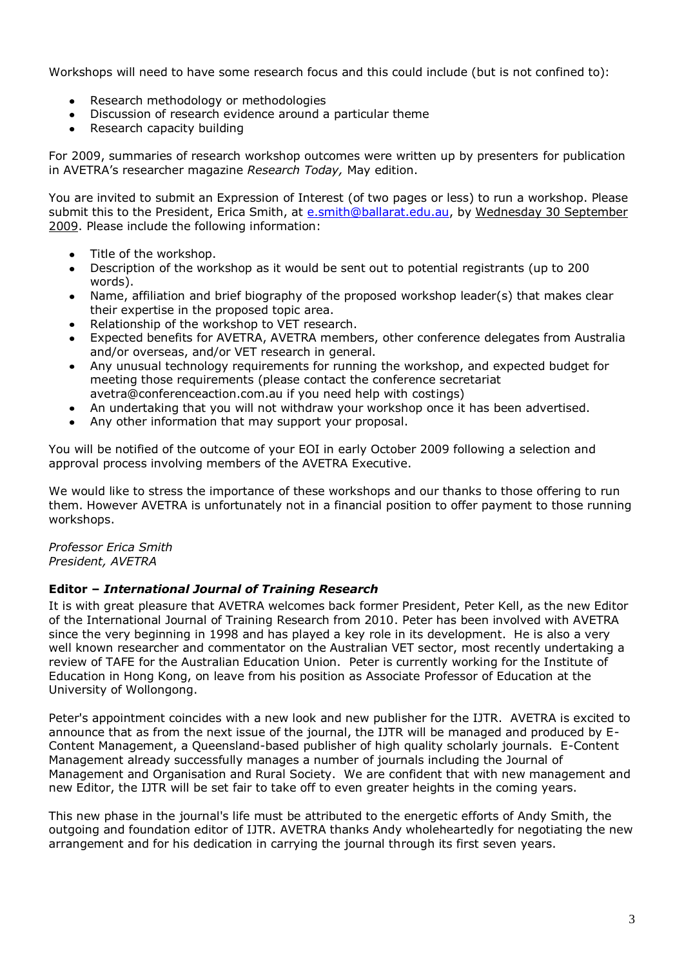Workshops will need to have some research focus and this could include (but is not confined to):

- Research methodology or methodologies
- Discussion of research evidence around a particular theme  $\bullet$
- Research capacity building

For 2009, summaries of research workshop outcomes were written up by presenters for publication in AVETRA's researcher magazine *Research Today,* May edition.

You are invited to submit an Expression of Interest (of two pages or less) to run a workshop. Please submit this to the President, Erica Smith, at [e.smith@ballarat.edu.au,](mailto:e.smith@ballarat.edu.au) by Wednesday 30 September 2009. Please include the following information:

- Title of the workshop.
- Description of the workshop as it would be sent out to potential registrants (up to 200 words).
- Name, affiliation and brief biography of the proposed workshop leader(s) that makes clear their expertise in the proposed topic area.
- Relationship of the workshop to VET research.
- Expected benefits for AVETRA, AVETRA members, other conference delegates from Australia and/or overseas, and/or VET research in general.
- Any unusual technology requirements for running the workshop, and expected budget for  $\bullet$ meeting those requirements (please contact the conference secretariat avetra@conferenceaction.com.au if you need help with costings)
- An undertaking that you will not withdraw your workshop once it has been advertised.  $\bullet$
- Any other information that may support your proposal.

You will be notified of the outcome of your EOI in early October 2009 following a selection and approval process involving members of the AVETRA Executive.

We would like to stress the importance of these workshops and our thanks to those offering to run them. However AVETRA is unfortunately not in a financial position to offer payment to those running workshops.

*Professor Erica Smith President, AVETRA* 

# **Editor –** *International Journal of Training Research*

It is with great pleasure that AVETRA welcomes back former President, Peter Kell, as the new Editor of the International Journal of Training Research from 2010. Peter has been involved with AVETRA since the very beginning in 1998 and has played a key role in its development. He is also a very well known researcher and commentator on the Australian VET sector, most recently undertaking a review of TAFE for the Australian Education Union. Peter is currently working for the Institute of Education in Hong Kong, on leave from his position as Associate Professor of Education at the University of Wollongong.

Peter's appointment coincides with a new look and new publisher for the IJTR. AVETRA is excited to announce that as from the next issue of the journal, the IJTR will be managed and produced by E-Content Management, a Queensland-based publisher of high quality scholarly journals. E-Content Management already successfully manages a number of journals including the Journal of Management and Organisation and Rural Society. We are confident that with new management and new Editor, the IJTR will be set fair to take off to even greater heights in the coming years.

This new phase in the journal's life must be attributed to the energetic efforts of Andy Smith, the outgoing and foundation editor of IJTR. AVETRA thanks Andy wholeheartedly for negotiating the new arrangement and for his dedication in carrying the journal through its first seven years.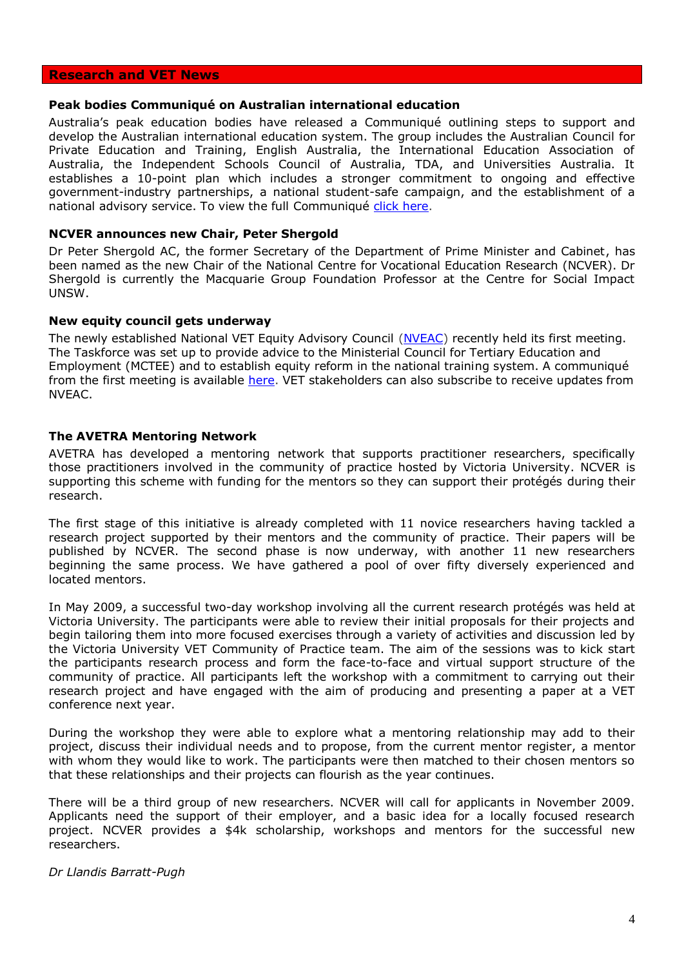### **Research and VET News**

#### **Peak bodies Communiqué on Australian international education**

Australia's peak education bodies have released a Communiqué outlining steps to support and develop the Australian international education system. The group includes the Australian Council for Private Education and Training, English Australia, the International Education Association of Australia, the Independent Schools Council of Australia, TDA, and Universities Australia. It establishes a 10-point plan which includes a stronger commitment to ongoing and effective government-industry partnerships, a national student-safe campaign, and the establishment of a national advisory service. To view the full Communiqué [click here.](http://www.tda.edu.au/resources/Communique-on-International-Education.pdf)

### **NCVER announces new Chair, Peter Shergold**

Dr Peter Shergold AC, the former Secretary of the Department of Prime Minister and Cabinet, has been named as the new Chair of the National Centre for Vocational Education Research (NCVER). Dr Shergold is currently the Macquarie Group Foundation Professor at the Centre for Social Impact UNSW.

### **New equity council gets underway**

The newly established National VET Equity Advisory Council [\(NVEAC\)](http://www.nveac.tvetaustralia.com.au/home) recently held its first meeting. The Taskforce was set up to provide advice to the Ministerial Council for Tertiary Education and Employment (MCTEE) and to establish equity reform in the national training system. A communiqué from the first meeting is available [here.](http://www.nveac.tvetaustralia.com.au/news) VET stakeholders can also subscribe to receive updates from NVEAC.

### **The AVETRA Mentoring Network**

AVETRA has developed a mentoring network that supports practitioner researchers, specifically those practitioners involved in the community of practice hosted by Victoria University. NCVER is supporting this scheme with funding for the mentors so they can support their protégés during their research.

The first stage of this initiative is already completed with 11 novice researchers having tackled a research project supported by their mentors and the community of practice. Their papers will be published by NCVER. The second phase is now underway, with another 11 new researchers beginning the same process. We have gathered a pool of over fifty diversely experienced and located mentors.

In May 2009, a successful two-day workshop involving all the current research protégés was held at Victoria University. The participants were able to review their initial proposals for their projects and begin tailoring them into more focused exercises through a variety of activities and discussion led by the Victoria University VET Community of Practice team. The aim of the sessions was to kick start the participants research process and form the face-to-face and virtual support structure of the community of practice. All participants left the workshop with a commitment to carrying out their research project and have engaged with the aim of producing and presenting a paper at a VET conference next year.

During the workshop they were able to explore what a mentoring relationship may add to their project, discuss their individual needs and to propose, from the current mentor register, a mentor with whom they would like to work. The participants were then matched to their chosen mentors so that these relationships and their projects can flourish as the year continues.

There will be a third group of new researchers. NCVER will call for applicants in November 2009. Applicants need the support of their employer, and a basic idea for a locally focused research project. NCVER provides a \$4k scholarship, workshops and mentors for the successful new researchers.

*Dr Llandis Barratt-Pugh*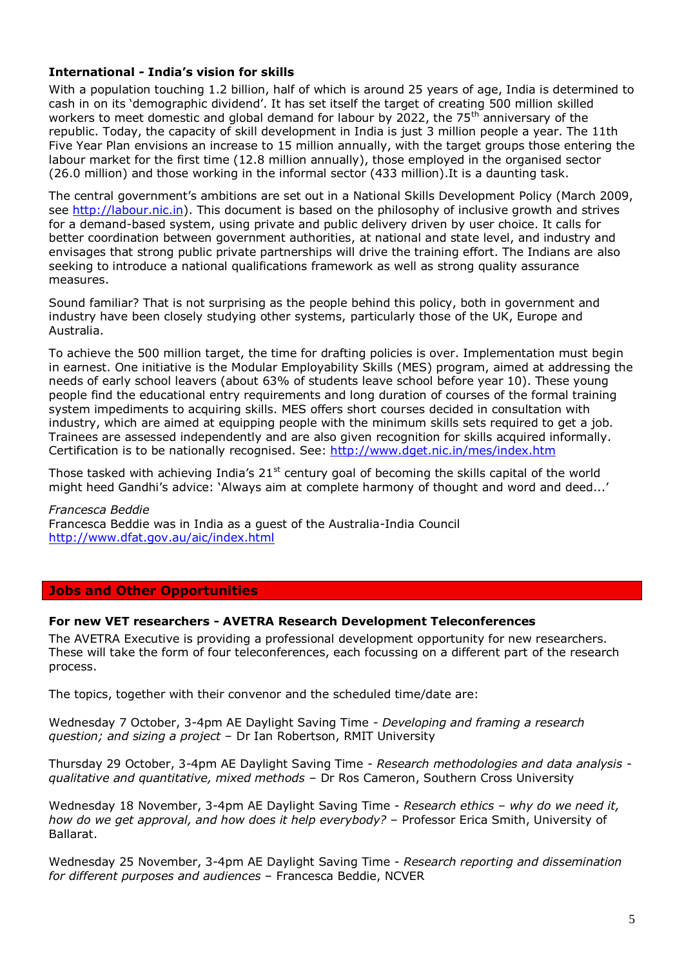# **International** *-* **India's vision for skills**

With a population touching 1.2 billion, half of which is around 25 years of age, India is determined to cash in on its 'demographic dividend'. It has set itself the target of creating 500 million skilled workers to meet domestic and global demand for labour by 2022, the 75<sup>th</sup> anniversary of the republic. Today, the capacity of skill development in India is just 3 million people a year. The 11th Five Year Plan envisions an increase to 15 million annually, with the target groups those entering the labour market for the first time (12.8 million annually), those employed in the organised sector (26.0 million) and those working in the informal sector (433 million).It is a daunting task.

The central government's ambitions are set out in a National Skills Development Policy (March 2009, see [http://labour.nic.in\)](http://labour.nic.in/). This document is based on the philosophy of inclusive growth and strives for a demand-based system, using private and public delivery driven by user choice. It calls for better coordination between government authorities, at national and state level, and industry and envisages that strong public private partnerships will drive the training effort. The Indians are also seeking to introduce a national qualifications framework as well as strong quality assurance measures.

Sound familiar? That is not surprising as the people behind this policy, both in government and industry have been closely studying other systems, particularly those of the UK, Europe and Australia.

To achieve the 500 million target, the time for drafting policies is over. Implementation must begin in earnest. One initiative is the Modular Employability Skills (MES) program, aimed at addressing the needs of early school leavers (about 63% of students leave school before year 10). These young people find the educational entry requirements and long duration of courses of the formal training system impediments to acquiring skills. MES offers short courses decided in consultation with industry, which are aimed at equipping people with the minimum skills sets required to get a job. Trainees are assessed independently and are also given recognition for skills acquired informally. Certification is to be nationally recognised. See:<http://www.dget.nic.in/mes/index.htm>

Those tasked with achieving India's  $21<sup>st</sup>$  century goal of becoming the skills capital of the world might heed Gandhi's advice: 'Always aim at complete harmony of thought and word and deed...'

*Francesca Beddie* Francesca Beddie was in India as a guest of the Australia-India Council <http://www.dfat.gov.au/aic/index.html>

# **Jobs and Other Opportunities**

### **For new VET researchers - AVETRA Research Development Teleconferences**

The AVETRA Executive is providing a professional development opportunity for new researchers. These will take the form of four teleconferences, each focussing on a different part of the research process.

The topics, together with their convenor and the scheduled time/date are:

Wednesday 7 October, 3-4pm AE Daylight Saving Time - *Developing and framing a research question; and sizing a project* – Dr Ian Robertson, RMIT University

Thursday 29 October, 3-4pm AE Daylight Saving Time - *Research methodologies and data analysis qualitative and quantitative, mixed methods* – Dr Ros Cameron, Southern Cross University

Wednesday 18 November, 3-4pm AE Daylight Saving Time - *Research ethics – why do we need it, how do we get approval, and how does it help everybody?* – Professor Erica Smith, University of Ballarat.

Wednesday 25 November, 3-4pm AE Daylight Saving Time - *Research reporting and dissemination for different purposes and audiences* – Francesca Beddie, NCVER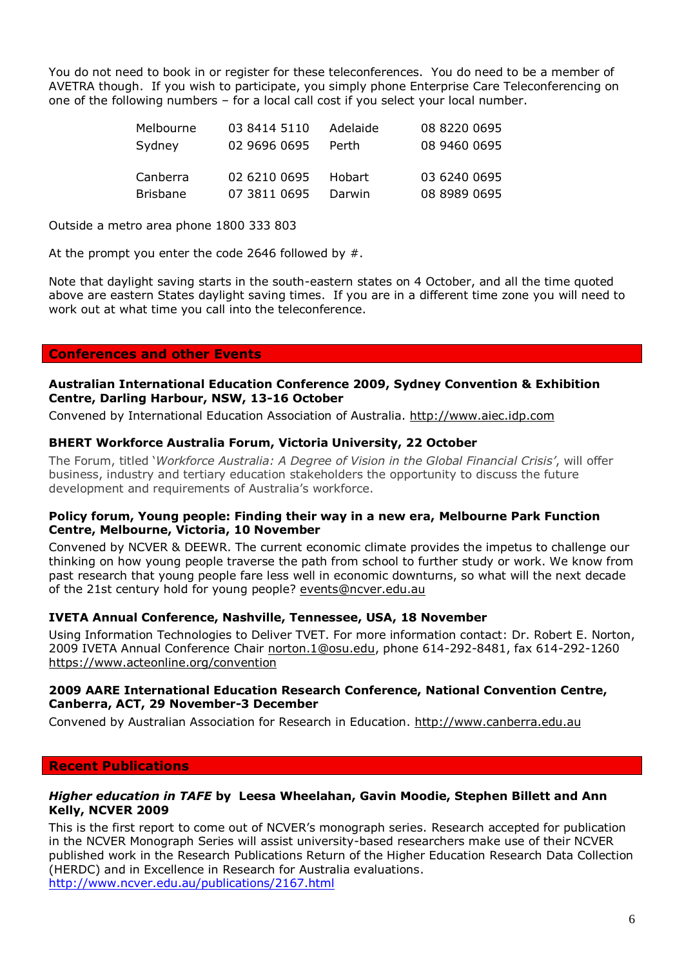You do not need to book in or register for these teleconferences. You do need to be a member of AVETRA though. If you wish to participate, you simply phone Enterprise Care Teleconferencing on one of the following numbers – for a local call cost if you select your local number.

| Melbourne       | 03 8414 5110 | Adelaide | 08 8220 0695 |
|-----------------|--------------|----------|--------------|
| Sydney          | 02 9696 0695 | Perth    | 08 9460 0695 |
|                 |              |          |              |
| Canberra        | 02 6210 0695 | Hobart   | 03 6240 0695 |
| <b>Brisbane</b> |              |          |              |

Outside a metro area phone 1800 333 803

At the prompt you enter the code 2646 followed by #.

Note that daylight saving starts in the south-eastern states on 4 October, and all the time quoted above are eastern States daylight saving times. If you are in a different time zone you will need to work out at what time you call into the teleconference.

# **Conferences and other Events**

## **Australian International Education Conference 2009, Sydney Convention & Exhibition Centre, Darling Harbour, NSW, 13-16 October**

Convened by International Education Association of Australia. [http://www.aiec.idp.com](http://www.aiec.idp.com/)

## **BHERT Workforce Australia Forum, Victoria University, 22 October**

The Forum, titled '*Workforce Australia: A Degree of Vision in the Global Financial Crisis'*, will offer business, industry and tertiary education stakeholders the opportunity to discuss the future development and requirements of Australia's workforce.

## **Policy forum, Young people: Finding their way in a new era, Melbourne Park Function Centre, Melbourne, Victoria, 10 November**

Convened by NCVER & DEEWR. The current economic climate provides the impetus to challenge our thinking on how young people traverse the path from school to further study or work. We know from past research that young people fare less well in economic downturns, so what will the next decade of the 21st century hold for young people? [events@ncver.edu.au](mailto:events@ncver.edu.au)

### **IVETA Annual Conference, Nashville, Tennessee, USA, 18 November**

Using Information Technologies to Deliver TVET. For more information contact: Dr. Robert E. Norton, 2009 IVETA Annual Conference Chair norton.1@osu.edu, phone 614-292-8481, fax 614-292-1260 https://www.acteonline.org/convention

### **2009 AARE International Education Research Conference, National Convention Centre, Canberra, ACT, 29 November-3 December**

Convened by Australian Association for Research in Education. [http://www.canberra.edu.au](http://www.canberra.edu.au/)

### **Recent Publications**

## *Higher education in TAFE* **by Leesa Wheelahan, Gavin Moodie, Stephen Billett and Ann Kelly, NCVER 2009**

This is the first report to come out of NCVER's monograph series. Research accepted for publication in the NCVER Monograph Series will assist university-based researchers make use of their NCVER published work in the Research Publications Return of the Higher Education Research Data Collection (HERDC) and in Excellence in Research for Australia evaluations. <http://www.ncver.edu.au/publications/2167.html>